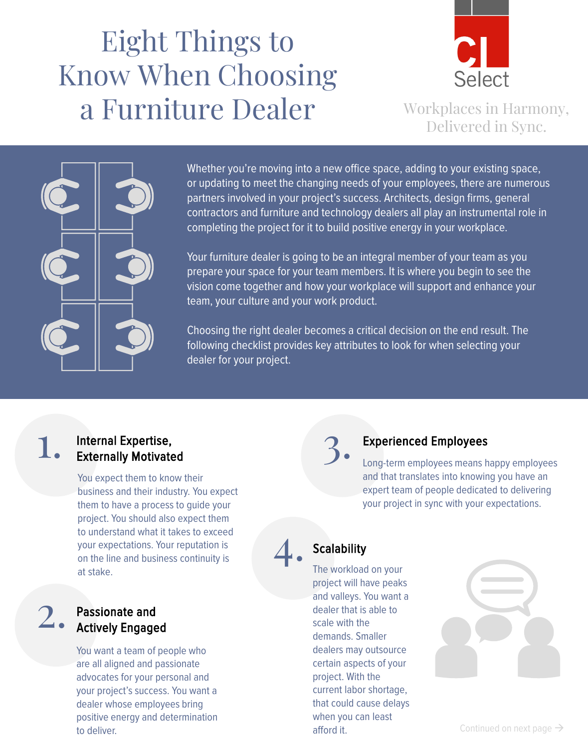# Eight Things to Know When Choosing a Furniture Dealer Workplaces in Harmony,



Delivered in Sync.



Whether you're moving into a new office space, adding to your existing space, or updating to meet the changing needs of your employees, there are numerous partners involved in your project's success. Architects, design firms, general contractors and furniture and technology dealers all play an instrumental role in completing the project for it to build positive energy in your workplace.

Your furniture dealer is going to be an integral member of your team as you prepare your space for your team members. It is where you begin to see the vision come together and how your workplace will support and enhance your team, your culture and your work product.

Choosing the right dealer becomes a critical decision on the end result. The following checklist provides key attributes to look for when selecting your dealer for your project.

# 1. Internal Expertise, Externally Motivated

You expect them to know their business and their industry. You expect them to have a process to guide your project. You should also expect them to understand what it takes to exceed your expectations. Your reputation is on the line and business continuity is at stake.

# 2. Passionate and<br>
2. Actively Engaged

You want a team of people who are all aligned and passionate advocates for your personal and your project's success. You want a dealer whose employees bring positive energy and determination to deliver.



### 3. Experienced Employees

Long-term employees means happy employees and that translates into knowing you have an expert team of people dedicated to delivering your project in sync with your expectations.

### **Scalability**

4.

The workload on your project will have peaks and valleys. You want a dealer that is able to scale with the demands. Smaller dealers may outsource certain aspects of your project. With the current labor shortage, that could cause delays when you can least afford it.